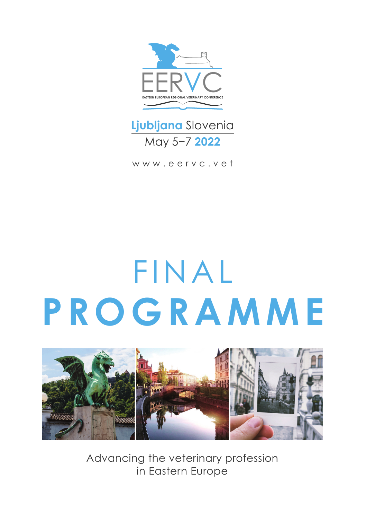

## **Ljubljana** Slovenia May 5−7 **2022**

www.eervc.vet

## FINAL **PROGRAMME**



Advancing the veterinary profession in Eastern Europe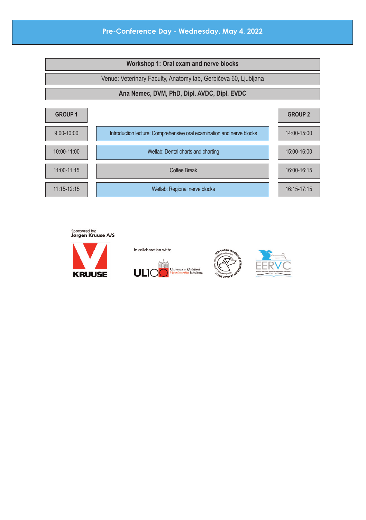## **Pre-Conference Day - Wednesday, May 4, 2022**









In collaboration with: **Univerza v Ljubljani**<br>Veterinarska fakulteta

**ULI**C



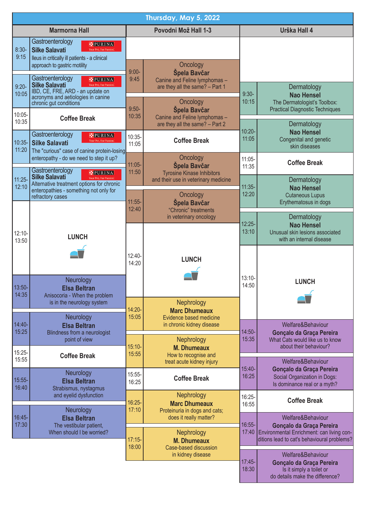| Thursday, May 5, 2022 |                                                                                                                                                                                                        |                                                                                                    |                                                                                                                |                    |                                                                                            |  |  |  |  |
|-----------------------|--------------------------------------------------------------------------------------------------------------------------------------------------------------------------------------------------------|----------------------------------------------------------------------------------------------------|----------------------------------------------------------------------------------------------------------------|--------------------|--------------------------------------------------------------------------------------------|--|--|--|--|
| Marmorna Hall         |                                                                                                                                                                                                        |                                                                                                    | Povodni Mož Hall 1-3                                                                                           | Urška Hall 4       |                                                                                            |  |  |  |  |
| $8:30-$<br>9:15       | Gastroenterology<br>PURINA<br><b>Silke Salavati</b><br>Ileus in critically ill patients - a clinical<br>approach to gastric motility                                                                   | Oncology                                                                                           |                                                                                                                |                    |                                                                                            |  |  |  |  |
| $9:20 -$<br>10:05     | Gastroenterology<br>PURINA<br><b>Silke Salavati</b><br>IBD, CE, FRE, ARD - an update on<br>acronyms and aetiologies in canine                                                                          |                                                                                                    | $9:00-$<br>Špela Bavčar<br>9:45<br>Canine and Feline lymphomas -<br>are they all the same? - Part 1<br>$9:30-$ |                    | Dermatology<br><b>Nao Hensel</b>                                                           |  |  |  |  |
| 10:05-<br>10:35       | chronic gut conditions<br><b>Coffee Break</b>                                                                                                                                                          | $9:50-$<br>10:35                                                                                   | Oncology<br>Špela Bavčar<br>Canine and Feline lymphomas -<br>are they all the same? - Part 2                   | 10:15              | The Dermatologist's Toolbox:<br><b>Practical Diagnostic Techniques</b><br>Dermatology      |  |  |  |  |
| $10:35-$<br>11:20     | Gastroenterology<br>PURINA<br><b>Silke Salavati</b><br>The "curious" case of canine protein-losing                                                                                                     | $10:35-$<br>11:05                                                                                  | <b>Coffee Break</b>                                                                                            | $10:20 -$<br>11:05 | <b>Nao Hensel</b><br>Congenital and genetic<br>skin diseases                               |  |  |  |  |
|                       | enteropathy - do we need to step it up?<br>Gastroenterology<br>PURINAL<br><b>Silke Salavati</b>                                                                                                        | $11:05-$<br>11:50                                                                                  | Oncology<br>$11:05 -$<br>Špela Bavčar<br><b>Tyrosine Kinase Inhibitors</b>                                     |                    | <b>Coffee Break</b>                                                                        |  |  |  |  |
| $11:25-$<br>12:10     | Alternative treatment options for chronic<br>enteropathies - something not only for<br>refractory cases                                                                                                | $11:55-$                                                                                           | and their use in veterinary medicine<br>Oncology<br>Špela Bavčar                                               |                    | Dermatology<br>Nao Hensel<br><b>Cutaneous Lupus</b><br>Erythematosus in dogs               |  |  |  |  |
| $12:10-$<br>13:50     | <b>LUNCH</b><br>Neurology<br><b>Elsa Beltran</b><br>Anisocoria - When the problem<br>is in the neurology system                                                                                        | 12:40                                                                                              | "Chronic" treatments<br>in veterinary oncology                                                                 |                    | Dermatology<br>Nao Hensel<br>Unusual skin lesions associated<br>with an internal disease   |  |  |  |  |
|                       |                                                                                                                                                                                                        | 12:40-<br>14:20                                                                                    | <b>LUNCH</b>                                                                                                   |                    |                                                                                            |  |  |  |  |
| $13:50-$<br>14:35     |                                                                                                                                                                                                        |                                                                                                    | Nephrology                                                                                                     | $13:10-$<br>14:50  | LUNCH                                                                                      |  |  |  |  |
| $14:40-$              | Neurology<br><b>Elsa Beltran</b>                                                                                                                                                                       | $14:20 -$<br><b>Marc Dhumeaux</b><br>15:05<br>Evidence based medicine<br>in chronic kidney disease |                                                                                                                | $14:50-$           | Welfare&Behaviour                                                                          |  |  |  |  |
| 15:25<br>15:25-       | Blindness from a neurologist<br>point of view                                                                                                                                                          | $15:10-$<br>15:55                                                                                  | Nephrology<br><b>M. Dhumeaux</b><br>How to recognise and                                                       |                    | Gonçalo da Graça Pereira<br>What Cats would like us to know<br>about their behaviour?      |  |  |  |  |
| 15:55<br>$15:55-$     | <b>Coffee Break</b><br>Neurology<br><b>Elsa Beltran</b><br>Strabismus, nystagmus<br>and eyelid dysfunction<br>Neurology<br><b>Elsa Beltran</b><br>The vestibular patient,<br>When should I be worried? | 15:55-                                                                                             | treat acute kidney injury<br><b>Coffee Break</b>                                                               | $15:40-$<br>16:25  | Welfare&Behaviour<br>Gonçalo da Graça Pereira<br>Social Organization in Dogs:              |  |  |  |  |
| 16:40                 |                                                                                                                                                                                                        | 16:25<br>$16:25-$                                                                                  | Nephrology<br><b>Marc Dhumeaux</b>                                                                             | 16:25-<br>16:55    | Is dominance real or a myth?<br><b>Coffee Break</b>                                        |  |  |  |  |
| 16:45-<br>17:30       |                                                                                                                                                                                                        | 17:10                                                                                              | Proteinuria in dogs and cats;<br>does it really matter?                                                        | 16:55-<br>17:40    | Welfare&Behaviour<br>Gonçalo da Graça Pereira<br>Environmental Enrichment: can living con- |  |  |  |  |
|                       |                                                                                                                                                                                                        |                                                                                                    | <b>Nephrology</b><br>$17:15-$<br><b>M. Dhumeaux</b><br>18:00<br>Case-based discussion<br>in kidnev disease     |                    | ditions lead to cat's behavioural problems?<br>Welfare&Behaviour                           |  |  |  |  |
|                       |                                                                                                                                                                                                        |                                                                                                    |                                                                                                                | $17:45-$<br>18:30  | Gonçalo da Graça Pereira<br>Is it simply a toilet or<br>do details make the difference?    |  |  |  |  |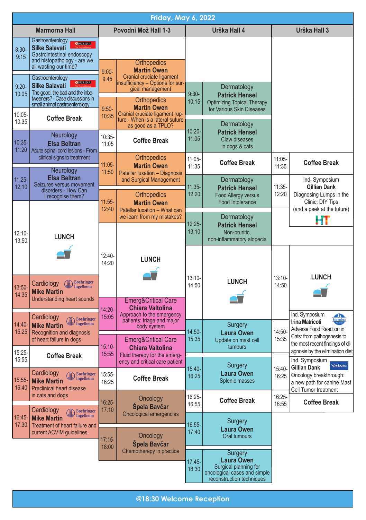| <b>Friday, May 6, 2022</b> |                                                                                                                                                                                                                                                                |                                                                     |                                                                                           |                    |                                                                                                                    |                            |                                                                                                                                 |  |
|----------------------------|----------------------------------------------------------------------------------------------------------------------------------------------------------------------------------------------------------------------------------------------------------------|---------------------------------------------------------------------|-------------------------------------------------------------------------------------------|--------------------|--------------------------------------------------------------------------------------------------------------------|----------------------------|---------------------------------------------------------------------------------------------------------------------------------|--|
| <b>Marmorna Hall</b>       |                                                                                                                                                                                                                                                                | Povodni Mož Hall 1-3                                                |                                                                                           |                    | Urška Hall 4                                                                                                       | Urška Hall 3               |                                                                                                                                 |  |
| $8:30-$<br>9:15            | Gastroenterology<br><b>MEURINA</b><br><b>Silke Salavati</b><br>Gastrointestinal endoscopy<br>and histopathology - are we<br>all wasting our time?                                                                                                              | $9:00-$                                                             | <b>Orthopedics</b><br><b>Martin Owen</b><br>Cranial cruciate ligament                     |                    |                                                                                                                    |                            |                                                                                                                                 |  |
| $9:20 -$<br>10:05          | Gastroenterology<br><b>MPURINA</b><br><b>Silke Salavati</b><br>The good, the bad and the inbe-<br>tweeners? - Case discussions in                                                                                                                              | 9:45                                                                | insufficiency - Options for sur-<br>gical management<br>Orthopedics                       | $9:30-$            | Dermatology<br><b>Patrick Hensel</b>                                                                               |                            |                                                                                                                                 |  |
| 10:05-<br>10:35            | small animal gastroenterology<br><b>Coffee Break</b>                                                                                                                                                                                                           | $9:50-$<br>10:35                                                    | <b>Martin Owen</b><br>Cranial cruciate ligament rup-<br>ture - When is a lateral suture   | 10:15              | <b>Optimizing Topical Therapy</b><br>for Various Skin Diseases                                                     |                            |                                                                                                                                 |  |
| $10:35 -$<br>11:20         | Neurology<br>Elsa Beltran<br>Acute spinal cord lesions - From                                                                                                                                                                                                  | $10:35-$<br>11:05                                                   | as good as a TPLO?<br><b>Coffee Break</b>                                                 | $10:20 -$<br>11:05 | Dermatology<br><b>Patrick Hensel</b><br><b>Claw diseases</b><br>in dogs & cats                                     |                            |                                                                                                                                 |  |
|                            | clinical signs to treatment<br><b>Neurology</b>                                                                                                                                                                                                                | 11:05-<br>11:50                                                     | Orthopedics<br><b>Martin Owen</b><br>Patellar luxation - Diagnosis                        | $11:05 -$<br>11:35 | <b>Coffee Break</b>                                                                                                | $11:05 -$<br>11:35         | <b>Coffee Break</b>                                                                                                             |  |
| $11:25 -$<br>12:10         | Elsa Beltran<br>Seizures versus movement<br>disorders - How Can<br>I recognise them?                                                                                                                                                                           | $11:55-$                                                            | and Surgical Management<br><b>Orthopedics</b><br><b>Martin Owen</b>                       | $11:35-$<br>12:20  | Dermatology<br><b>Patrick Hensel</b><br><b>Food Allergy versus</b><br>Food Intolerance                             | $11:35-$<br>12:20          | Ind. Symposium<br>Gillian Dank<br>Diagnosing Lumps in the<br>Clinic: DIY Tips                                                   |  |
| $12:10 -$<br>13:50         | <b>LUNCH</b>                                                                                                                                                                                                                                                   | 12:40<br>Patellar luxation - What can<br>we learn from my mistakes? |                                                                                           | 12:25-<br>13:10    | Dermatology<br><b>Patrick Hensel</b><br>Non-pruritic,<br>non-inflammatory alopecia                                 | (and a peek at the future) |                                                                                                                                 |  |
| $13:50-$                   | <b>Boehringer</b><br>Cardiology<br>(iii)<br>Ingelheim<br><b>Mike Martin</b><br>Understanding heart sounds                                                                                                                                                      | 12:40-<br>14:20                                                     | <b>LUNCH</b>                                                                              | $13:10 -$<br>14:50 | <b>LUNCH</b>                                                                                                       | $13:10 -$<br>14:50         | <b>LUNCH</b>                                                                                                                    |  |
| 14:35                      |                                                                                                                                                                                                                                                                | 14:20-                                                              | <b>Emerg&amp;Critical Care</b><br><b>Chiara Valtolina</b>                                 |                    |                                                                                                                    |                            |                                                                                                                                 |  |
| $14:40-$<br>15:25          | Cardiology<br><b>Boehringer</b><br>$\vert \nu \vert$ Ingelheim<br><b>Mike Martin</b><br>Recognition and diagnosis                                                                                                                                              | 15:05                                                               | Approach to the emergency<br>patients: triage and major<br>body system                    | 14:50-             | Surgery<br><b>Laura Owen</b>                                                                                       | 14:50-                     | Ind. Symposium<br>$\mathbf{R}$<br>Farmina<br><b>Irina Matricoti</b><br>Adverse Food Reaction in<br>Cats: from pathogenesis to   |  |
| 15:25-<br>15:55            | of heart failure in dogs<br><b>Coffee Break</b>                                                                                                                                                                                                                | $15:10-$<br>15:55                                                   | <b>Emerg&amp;Critical Care</b><br><b>Chiara Valtolina</b><br>Fluid therapy for the emerg- | 15:35              | Update on mast cell<br>tumours                                                                                     | 15:35                      | the most recent findings of di-<br>agnosis by the elimination diet                                                              |  |
| 15:55-<br>16:40            | Cardiology<br><b>Boehringer</b><br>Ingelheim<br><b>Mike Martin</b><br><b>Preclinical heart disease</b><br>in cats and dogs<br>Cardiology<br><b>Boehringer</b><br>Ingelheim<br><b>Mike Martin</b><br>Treatment of heart failure and<br>current ACVIM guidelines | 15:55-<br>16:25                                                     | ency and critical care patient<br><b>Coffee Break</b>                                     | 15:40-<br>16:25    | Surgery<br>Laura Owen<br>Splenic masses                                                                            | 15:40-<br>16:25            | Ind. Symposium<br>Virbac<br><b>Gillian Dank</b><br>Oncology breakthrough:<br>a new path for canine Mast<br>Cell Tumor treatment |  |
|                            |                                                                                                                                                                                                                                                                | $16:25-$<br>17:10                                                   | Oncology<br>Spela Bavčar                                                                  | 16:25-<br>16:55    | <b>Coffee Break</b>                                                                                                | 16:25-<br>16:55            | Coffee Break                                                                                                                    |  |
| $16:45-$<br>17:30          |                                                                                                                                                                                                                                                                | $17:15-$<br>18:00                                                   | Oncological emergencies<br>Oncology<br>Spela Bavčar                                       | 16:55-<br>17:40    | Surgery<br><b>Laura Owen</b><br>Oral tumours                                                                       |                            |                                                                                                                                 |  |
|                            |                                                                                                                                                                                                                                                                |                                                                     | Chemotherapy in practice                                                                  | $17:45-$<br>18:30  | Surgery<br><b>Laura Owen</b><br>Surgical planning for<br>oncological cases and simple<br>reconstruction techniques |                            |                                                                                                                                 |  |